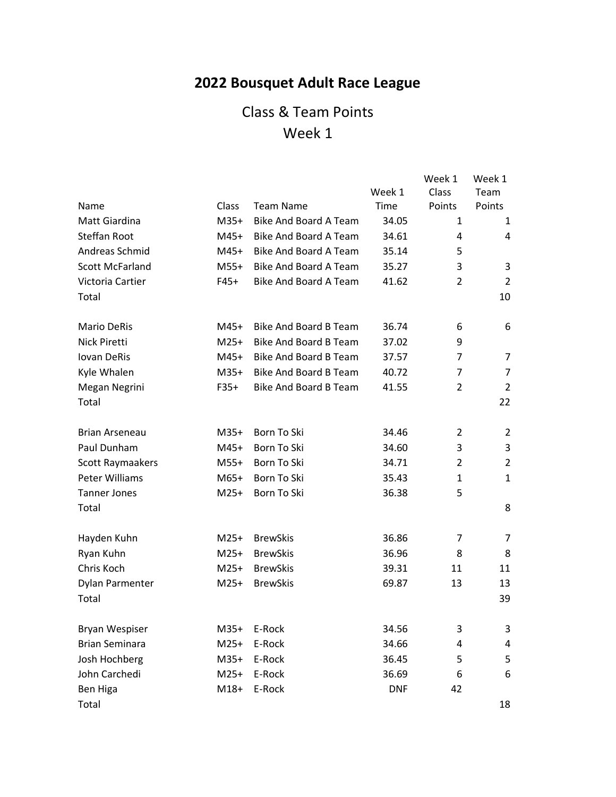# **2022 Bousquet Adult Race League**

|                        |        |                              |            | Week 1         | Week 1         |
|------------------------|--------|------------------------------|------------|----------------|----------------|
|                        |        |                              | Week 1     | Class          | Team           |
| Name                   | Class  | <b>Team Name</b>             | Time       | Points         | Points         |
| Matt Giardina          | $M35+$ | <b>Bike And Board A Team</b> | 34.05      | 1              | 1              |
| Steffan Root           | $M45+$ | <b>Bike And Board A Team</b> | 34.61      | 4              | 4              |
| Andreas Schmid         | M45+   | Bike And Board A Team        | 35.14      | 5              |                |
| <b>Scott McFarland</b> | $M55+$ | Bike And Board A Team        | 35.27      | 3              | 3              |
| Victoria Cartier       | $F45+$ | <b>Bike And Board A Team</b> | 41.62      | 2              | 2              |
| Total                  |        |                              |            |                | 10             |
| Mario DeRis            | $M45+$ | Bike And Board B Team        | 36.74      | 6              | 6              |
| Nick Piretti           | $M25+$ | <b>Bike And Board B Team</b> | 37.02      | 9              |                |
| <b>Iovan DeRis</b>     | M45+   | <b>Bike And Board B Team</b> | 37.57      | $\overline{7}$ | 7              |
| Kyle Whalen            | $M35+$ | <b>Bike And Board B Team</b> | 40.72      | $\overline{7}$ | $\overline{7}$ |
| Megan Negrini          | $F35+$ | <b>Bike And Board B Team</b> | 41.55      | 2              | 2              |
| Total                  |        |                              |            |                | 22             |
| <b>Brian Arseneau</b>  | $M35+$ | Born To Ski                  | 34.46      | 2              | 2              |
| Paul Dunham            | M45+   | Born To Ski                  | 34.60      | 3              | 3              |
| Scott Raymaakers       | $M55+$ | Born To Ski                  | 34.71      | 2              | $\overline{2}$ |
| Peter Williams         | M65+   | Born To Ski                  | 35.43      | 1              | $\mathbf{1}$   |
| <b>Tanner Jones</b>    | $M25+$ | Born To Ski                  | 36.38      | 5              |                |
| Total                  |        |                              |            |                | 8              |
| Hayden Kuhn            | $M25+$ | <b>BrewSkis</b>              | 36.86      | 7              | 7              |
| Ryan Kuhn              | $M25+$ | <b>BrewSkis</b>              | 36.96      | 8              | 8              |
| Chris Koch             | $M25+$ | <b>BrewSkis</b>              | 39.31      | 11             | 11             |
| Dylan Parmenter        | $M25+$ | <b>BrewSkis</b>              | 69.87      | 13             | 13             |
| Total                  |        |                              |            |                | 39             |
| Bryan Wespiser         | $M35+$ | E-Rock                       | 34.56      | 3              | 3              |
| <b>Brian Seminara</b>  | $M25+$ | E-Rock                       | 34.66      | 4              | 4              |
| Josh Hochberg          | $M35+$ | E-Rock                       | 36.45      | 5              | 5              |
| John Carchedi          | $M25+$ | E-Rock                       | 36.69      | 6              | 6              |
| Ben Higa               | $M18+$ | E-Rock                       | <b>DNF</b> | 42             |                |
| Total                  |        |                              |            |                | 18             |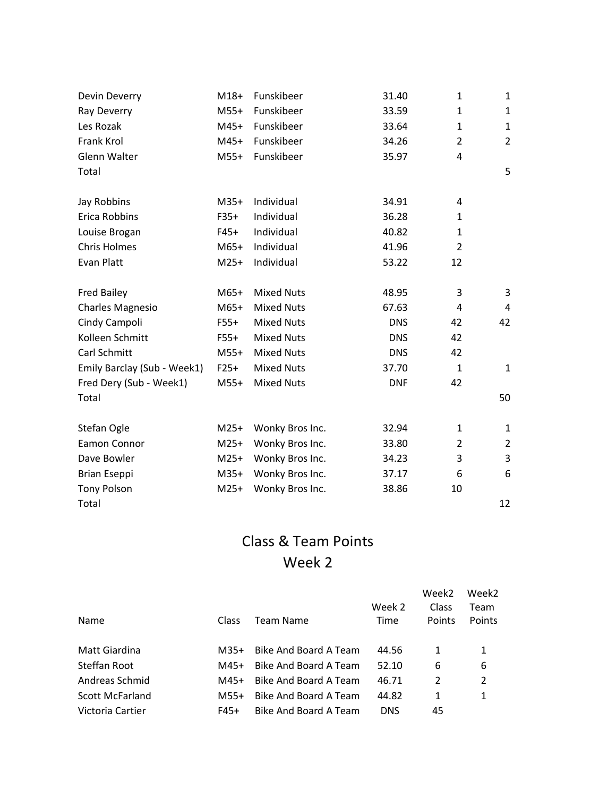| Devin Deverry               | $M18+$ | Funskibeer        | 31.40      | $\mathbf{1}$   | $\mathbf{1}$   |
|-----------------------------|--------|-------------------|------------|----------------|----------------|
| Ray Deverry                 | $M55+$ | Funskibeer        | 33.59      | $\mathbf{1}$   | 1              |
| Les Rozak                   | $M45+$ | Funskibeer        | 33.64      | $\mathbf{1}$   | $\mathbf{1}$   |
| Frank Krol                  | M45+   | Funskibeer        | 34.26      | $\overline{2}$ | $\overline{2}$ |
| Glenn Walter                | $M55+$ | Funskibeer        | 35.97      | 4              |                |
| Total                       |        |                   |            |                | 5              |
| Jay Robbins                 | $M35+$ | Individual        | 34.91      | 4              |                |
| Erica Robbins               | $F35+$ | Individual        | 36.28      | $\mathbf{1}$   |                |
| Louise Brogan               | $F45+$ | Individual        | 40.82      | $\mathbf{1}$   |                |
| <b>Chris Holmes</b>         | $M65+$ | Individual        | 41.96      | $\overline{2}$ |                |
| Evan Platt                  | $M25+$ | Individual        | 53.22      | 12             |                |
| <b>Fred Bailey</b>          | $M65+$ | <b>Mixed Nuts</b> | 48.95      | 3              | 3              |
| <b>Charles Magnesio</b>     | $M65+$ | <b>Mixed Nuts</b> | 67.63      | 4              | 4              |
| Cindy Campoli               | $F55+$ | <b>Mixed Nuts</b> | <b>DNS</b> | 42             | 42             |
| Kolleen Schmitt             | $F55+$ | <b>Mixed Nuts</b> | <b>DNS</b> | 42             |                |
| Carl Schmitt                | $M55+$ | <b>Mixed Nuts</b> | <b>DNS</b> | 42             |                |
| Emily Barclay (Sub - Week1) | $F25+$ | <b>Mixed Nuts</b> | 37.70      | $\mathbf{1}$   | $\mathbf{1}$   |
| Fred Dery (Sub - Week1)     | $M55+$ | <b>Mixed Nuts</b> | <b>DNF</b> | 42             |                |
| Total                       |        |                   |            |                | 50             |
| Stefan Ogle                 | $M25+$ | Wonky Bros Inc.   | 32.94      | $\mathbf{1}$   | 1              |
| Eamon Connor                | $M25+$ | Wonky Bros Inc.   | 33.80      | 2              | $\overline{2}$ |
| Dave Bowler                 | $M25+$ | Wonky Bros Inc.   | 34.23      | 3              | 3              |
| <b>Brian Eseppi</b>         | $M35+$ | Wonky Bros Inc.   | 37.17      | 6              | 6              |
| <b>Tony Polson</b>          | $M25+$ | Wonky Bros Inc.   | 38.86      | 10             |                |
| Total                       |        |                   |            |                | 12             |

|                        |              |                       |            | Week2  | Week <sub>2</sub> |
|------------------------|--------------|-----------------------|------------|--------|-------------------|
|                        |              |                       | Week 2     | Class  | Team              |
| Name                   | <b>Class</b> | Team Name             | Time       | Points | Points            |
|                        |              |                       |            |        |                   |
| Matt Giardina          | M35+         | Bike And Board A Team | 44.56      | 1      | 1                 |
| Steffan Root           | M45+         | Bike And Board A Team | 52.10      | 6      | 6                 |
| Andreas Schmid         | M45+         | Bike And Board A Team | 46.71      | 2      | 2                 |
| <b>Scott McFarland</b> | M55+         | Bike And Board A Team | 44.82      | 1      | 1                 |
| Victoria Cartier       | F45+         | Bike And Board A Team | <b>DNS</b> | 45     |                   |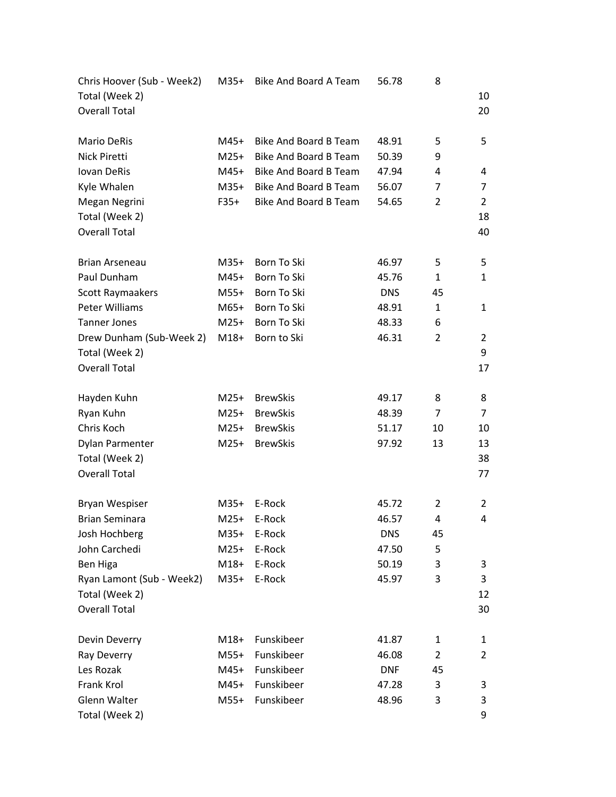| Chris Hoover (Sub - Week2) | $M35+$ | Bike And Board A Team        | 56.78      | 8              |                |
|----------------------------|--------|------------------------------|------------|----------------|----------------|
| Total (Week 2)             |        |                              |            |                | 10             |
| <b>Overall Total</b>       |        |                              |            |                | 20             |
|                            |        |                              |            |                |                |
| <b>Mario DeRis</b>         | M45+   | <b>Bike And Board B Team</b> | 48.91      | 5              | 5              |
| Nick Piretti               | $M25+$ | Bike And Board B Team        | 50.39      | 9              |                |
| <b>Iovan DeRis</b>         | M45+   | Bike And Board B Team        | 47.94      | 4              | 4              |
| Kyle Whalen                | $M35+$ | <b>Bike And Board B Team</b> | 56.07      | 7              | 7              |
| Megan Negrini              | F35+   | Bike And Board B Team        | 54.65      | 2              | 2              |
| Total (Week 2)             |        |                              |            |                | 18             |
| <b>Overall Total</b>       |        |                              |            |                | 40             |
| <b>Brian Arseneau</b>      | $M35+$ | Born To Ski                  | 46.97      | 5              | 5              |
| Paul Dunham                | M45+   | Born To Ski                  | 45.76      | 1              | $\mathbf{1}$   |
| Scott Raymaakers           | M55+   | Born To Ski                  | <b>DNS</b> | 45             |                |
| Peter Williams             | M65+   | Born To Ski                  | 48.91      | $\mathbf{1}$   | 1              |
| <b>Tanner Jones</b>        | $M25+$ | Born To Ski                  | 48.33      | 6              |                |
| Drew Dunham (Sub-Week 2)   | $M18+$ | Born to Ski                  | 46.31      | $\overline{2}$ | $\overline{2}$ |
| Total (Week 2)             |        |                              |            |                | 9              |
| <b>Overall Total</b>       |        |                              |            |                | 17             |
|                            |        |                              |            |                |                |
| Hayden Kuhn                | $M25+$ | <b>BrewSkis</b>              | 49.17      | 8              | 8              |
| Ryan Kuhn                  | $M25+$ | <b>BrewSkis</b>              | 48.39      | $\overline{7}$ | $\overline{7}$ |
| Chris Koch                 | $M25+$ | <b>BrewSkis</b>              | 51.17      | 10             | 10             |
| Dylan Parmenter            | $M25+$ | <b>BrewSkis</b>              | 97.92      | 13             | 13             |
| Total (Week 2)             |        |                              |            |                | 38             |
| <b>Overall Total</b>       |        |                              |            |                | 77             |
| Bryan Wespiser             | $M35+$ | E-Rock                       | 45.72      | 2              | 2              |
| <b>Brian Seminara</b>      | $M25+$ | E-Rock                       | 46.57      | 4              | 4              |
| Josh Hochberg              | $M35+$ | E-Rock                       | <b>DNS</b> | 45             |                |
| John Carchedi              | $M25+$ | E-Rock                       | 47.50      | 5              |                |
| Ben Higa                   | $M18+$ | E-Rock                       | 50.19      | 3              | 3              |
| Ryan Lamont (Sub - Week2)  | $M35+$ | E-Rock                       | 45.97      | 3              | 3              |
| Total (Week 2)             |        |                              |            |                | 12             |
| <b>Overall Total</b>       |        |                              |            |                | 30             |
| Devin Deverry              | $M18+$ | Funskibeer                   | 41.87      | 1              | 1              |
| Ray Deverry                | $M55+$ | Funskibeer                   | 46.08      | 2              | $\overline{2}$ |
| Les Rozak                  | M45+   | Funskibeer                   | <b>DNF</b> | 45             |                |
| Frank Krol                 | M45+   | Funskibeer                   | 47.28      | 3              | 3              |
| Glenn Walter               | $M55+$ | Funskibeer                   | 48.96      | 3              | 3              |
| Total (Week 2)             |        |                              |            |                | 9              |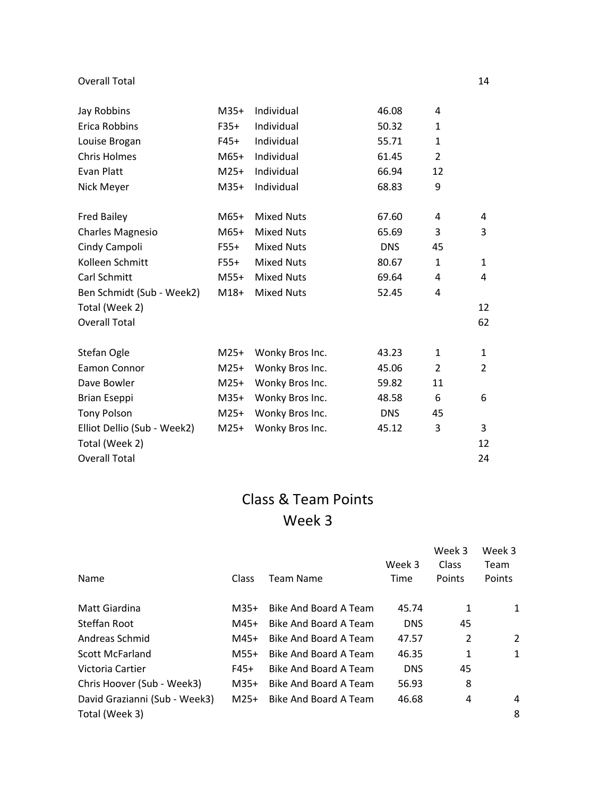#### Overall Total 14

| Jay Robbins                 | $M35+$ | Individual        | 46.08      | 4              |                |
|-----------------------------|--------|-------------------|------------|----------------|----------------|
| Erica Robbins               | $F35+$ | Individual        | 50.32      | $\mathbf{1}$   |                |
| Louise Brogan               | $F45+$ | Individual        | 55.71      | $\mathbf{1}$   |                |
| <b>Chris Holmes</b>         | $M65+$ | Individual        | 61.45      | 2              |                |
| Evan Platt                  | $M25+$ | Individual        | 66.94      | 12             |                |
| Nick Meyer                  | $M35+$ | Individual        | 68.83      | 9              |                |
| <b>Fred Bailey</b>          | $M65+$ | <b>Mixed Nuts</b> | 67.60      | 4              | 4              |
| <b>Charles Magnesio</b>     | $M65+$ | <b>Mixed Nuts</b> | 65.69      | 3              | 3              |
| Cindy Campoli               | $F55+$ | <b>Mixed Nuts</b> | <b>DNS</b> | 45             |                |
| Kolleen Schmitt             | F55+   | <b>Mixed Nuts</b> | 80.67      | $\mathbf{1}$   | $\mathbf{1}$   |
| Carl Schmitt                | $M55+$ | <b>Mixed Nuts</b> | 69.64      | 4              | 4              |
| Ben Schmidt (Sub - Week2)   | $M18+$ | <b>Mixed Nuts</b> | 52.45      | 4              |                |
| Total (Week 2)              |        |                   |            |                | 12             |
| <b>Overall Total</b>        |        |                   |            |                | 62             |
| Stefan Ogle                 | $M25+$ | Wonky Bros Inc.   | 43.23      | 1              | $\mathbf{1}$   |
| Eamon Connor                | $M25+$ | Wonky Bros Inc.   | 45.06      | $\overline{2}$ | $\overline{2}$ |
| Dave Bowler                 | $M25+$ | Wonky Bros Inc.   | 59.82      | 11             |                |
| Brian Eseppi                | $M35+$ | Wonky Bros Inc.   | 48.58      | 6              | 6              |
| <b>Tony Polson</b>          | $M25+$ | Wonky Bros Inc.   | <b>DNS</b> | 45             |                |
| Elliot Dellio (Sub - Week2) | $M25+$ | Wonky Bros Inc.   | 45.12      | 3              | 3              |
| Total (Week 2)              |        |                   |            |                | 12             |
| <b>Overall Total</b>        |        |                   |            |                | 24             |

|                               |        |                       | Week 3     | Week 3<br>Class | Week 3<br>Team |
|-------------------------------|--------|-----------------------|------------|-----------------|----------------|
| Name                          | Class  | Team Name             | Time       | Points          | Points         |
| Matt Giardina                 | $M35+$ | Bike And Board A Team | 45.74      | 1               | 1              |
| Steffan Root                  | M45+   | Bike And Board A Team | <b>DNS</b> | 45              |                |
| Andreas Schmid                | M45+   | Bike And Board A Team | 47.57      | 2               | 2              |
| <b>Scott McFarland</b>        | $M55+$ | Bike And Board A Team | 46.35      | 1               | 1              |
| Victoria Cartier              | F45+   | Bike And Board A Team | <b>DNS</b> | 45              |                |
| Chris Hoover (Sub - Week3)    | $M35+$ | Bike And Board A Team | 56.93      | 8               |                |
| David Grazianni (Sub - Week3) | $M25+$ | Bike And Board A Team | 46.68      | 4               | 4              |
| Total (Week 3)                |        |                       |            |                 | 8              |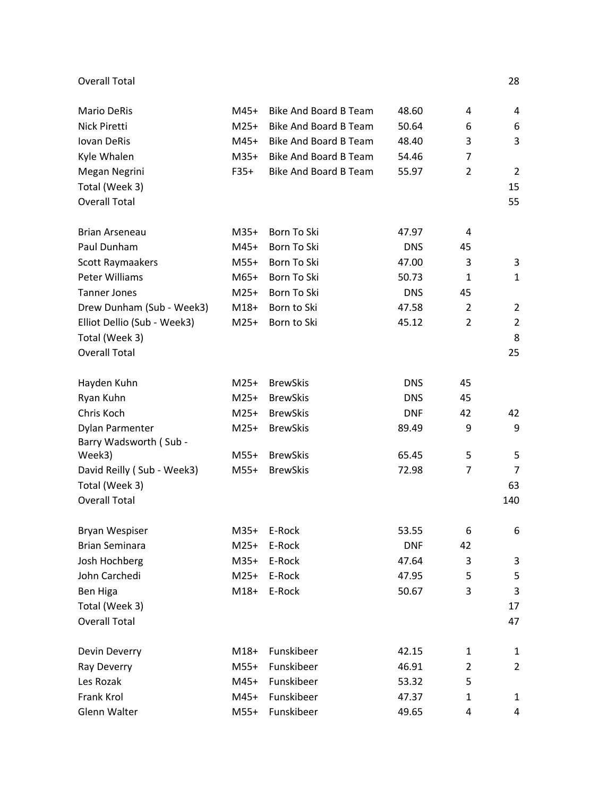#### Overall Total 28

| <b>Mario DeRis</b>          | M45+   | <b>Bike And Board B Team</b> | 48.60      | 4              | 4              |
|-----------------------------|--------|------------------------------|------------|----------------|----------------|
| Nick Piretti                | $M25+$ | <b>Bike And Board B Team</b> | 50.64      | 6              | 6              |
| Iovan DeRis                 | M45+   | <b>Bike And Board B Team</b> | 48.40      | 3              | 3              |
| Kyle Whalen                 | $M35+$ | Bike And Board B Team        | 54.46      | $\overline{7}$ |                |
| Megan Negrini               | $F35+$ | <b>Bike And Board B Team</b> | 55.97      | $\overline{2}$ | 2              |
| Total (Week 3)              |        |                              |            |                | 15             |
| <b>Overall Total</b>        |        |                              |            |                | 55             |
| <b>Brian Arseneau</b>       | $M35+$ | Born To Ski                  | 47.97      | 4              |                |
| Paul Dunham                 | M45+   | Born To Ski                  | <b>DNS</b> | 45             |                |
| Scott Raymaakers            | $M55+$ | Born To Ski                  | 47.00      | 3              | 3              |
| Peter Williams              | $M65+$ | Born To Ski                  | 50.73      | $\mathbf{1}$   | $\mathbf{1}$   |
| <b>Tanner Jones</b>         | $M25+$ | Born To Ski                  | <b>DNS</b> | 45             |                |
| Drew Dunham (Sub - Week3)   | $M18+$ | Born to Ski                  | 47.58      | $\overline{2}$ | $\overline{2}$ |
| Elliot Dellio (Sub - Week3) | $M25+$ | Born to Ski                  | 45.12      | 2              | $\overline{2}$ |
| Total (Week 3)              |        |                              |            |                | 8              |
| <b>Overall Total</b>        |        |                              |            |                | 25             |
| Hayden Kuhn                 | $M25+$ | <b>BrewSkis</b>              | <b>DNS</b> | 45             |                |
| Ryan Kuhn                   | $M25+$ | <b>BrewSkis</b>              | <b>DNS</b> | 45             |                |
| Chris Koch                  | $M25+$ | <b>BrewSkis</b>              | <b>DNF</b> | 42             | 42             |
| Dylan Parmenter             | $M25+$ | <b>BrewSkis</b>              | 89.49      | 9              | 9              |
| Barry Wadsworth (Sub -      |        |                              |            |                |                |
| Week3)                      | $M55+$ | <b>BrewSkis</b>              | 65.45      | 5              | 5              |
| David Reilly (Sub - Week3)  | $M55+$ | <b>BrewSkis</b>              | 72.98      | $\overline{7}$ | 7              |
| Total (Week 3)              |        |                              |            |                | 63             |
| <b>Overall Total</b>        |        |                              |            |                | 140            |
| Bryan Wespiser              | $M35+$ | E-Rock                       | 53.55      | 6              | 6              |
| <b>Brian Seminara</b>       | $M25+$ | E-Rock                       | <b>DNF</b> | 42             |                |
| Josh Hochberg               | $M35+$ | E-Rock                       | 47.64      | 3              | 3              |
| John Carchedi               | $M25+$ | E-Rock                       | 47.95      | 5              | 5              |
| Ben Higa                    | $M18+$ | E-Rock                       | 50.67      | 3              | 3              |
| Total (Week 3)              |        |                              |            |                | 17             |
| <b>Overall Total</b>        |        |                              |            |                | 47             |
| Devin Deverry               | $M18+$ | Funskibeer                   | 42.15      | 1              | 1              |
| Ray Deverry                 | $M55+$ | Funskibeer                   | 46.91      | $\overline{2}$ | $\overline{2}$ |
| Les Rozak                   | $M45+$ | Funskibeer                   | 53.32      | 5              |                |
| Frank Krol                  | M45+   | Funskibeer                   | 47.37      | 1              | 1              |
| Glenn Walter                | $M55+$ | Funskibeer                   | 49.65      | 4              | 4              |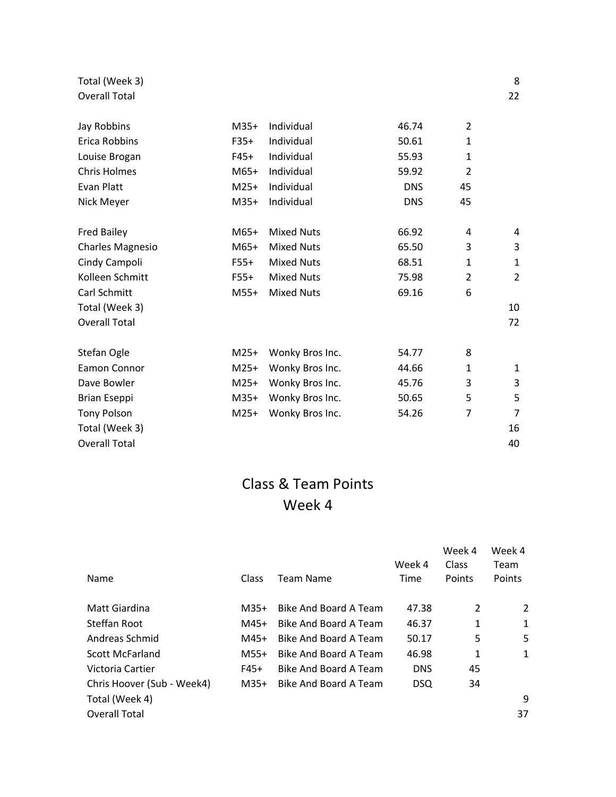#### Total (Week 3) 8 Overall Total 22

| Jay Robbins             | $M35+$ | Individual        | 46.74      | 2              |                |
|-------------------------|--------|-------------------|------------|----------------|----------------|
| Erica Robbins           | $F35+$ | Individual        | 50.61      | 1              |                |
| Louise Brogan           | $F45+$ | Individual        | 55.93      | $\mathbf{1}$   |                |
| Chris Holmes            | $M65+$ | Individual        | 59.92      | $\overline{2}$ |                |
| Evan Platt              | $M25+$ | Individual        | <b>DNS</b> | 45             |                |
| Nick Meyer              | $M35+$ | Individual        | <b>DNS</b> | 45             |                |
| Fred Bailey             | M65+   | <b>Mixed Nuts</b> | 66.92      | 4              | 4              |
| <b>Charles Magnesio</b> | $M65+$ | <b>Mixed Nuts</b> | 65.50      | 3              | 3              |
| Cindy Campoli           | $F55+$ | <b>Mixed Nuts</b> | 68.51      | $\mathbf{1}$   | 1              |
| Kolleen Schmitt         | $F55+$ | <b>Mixed Nuts</b> | 75.98      | $\overline{2}$ | $\overline{2}$ |
| Carl Schmitt            | $M55+$ | <b>Mixed Nuts</b> | 69.16      | 6              |                |
| Total (Week 3)          |        |                   |            |                | 10             |
| <b>Overall Total</b>    |        |                   |            |                | 72             |
| Stefan Ogle             | $M25+$ | Wonky Bros Inc.   | 54.77      | 8              |                |
| Eamon Connor            | $M25+$ | Wonky Bros Inc.   | 44.66      | $\mathbf{1}$   | $\mathbf{1}$   |
| Dave Bowler             | $M25+$ | Wonky Bros Inc.   | 45.76      | 3              | 3              |
| Brian Eseppi            | $M35+$ | Wonky Bros Inc.   | 50.65      | 5              | 5              |
| <b>Tony Polson</b>      | $M25+$ | Wonky Bros Inc.   | 54.26      | 7              | $\overline{7}$ |
| Total (Week 3)          |        |                   |            |                | 16             |
| <b>Overall Total</b>    |        |                   |            |                | 40             |

| Name                       | Class  | Team Name                    | Week 4<br>Time | Week 4<br>Class<br>Points | Week 4<br>Team<br>Points |
|----------------------------|--------|------------------------------|----------------|---------------------------|--------------------------|
|                            |        |                              |                |                           |                          |
| Matt Giardina              | $M35+$ | <b>Bike And Board A Team</b> | 47.38          | 2                         | 2                        |
| Steffan Root               | M45+   | Bike And Board A Team        | 46.37          | 1                         | 1                        |
| Andreas Schmid             | M45+   | Bike And Board A Team        | 50.17          | 5                         | 5                        |
| <b>Scott McFarland</b>     | $M55+$ | Bike And Board A Team        | 46.98          | 1                         | 1                        |
| Victoria Cartier           | F45+   | Bike And Board A Team        | <b>DNS</b>     | 45                        |                          |
| Chris Hoover (Sub - Week4) | $M35+$ | Bike And Board A Team        | <b>DSQ</b>     | 34                        |                          |
| Total (Week 4)             |        |                              |                |                           | 9                        |
| Overall Total              |        |                              |                |                           | 37                       |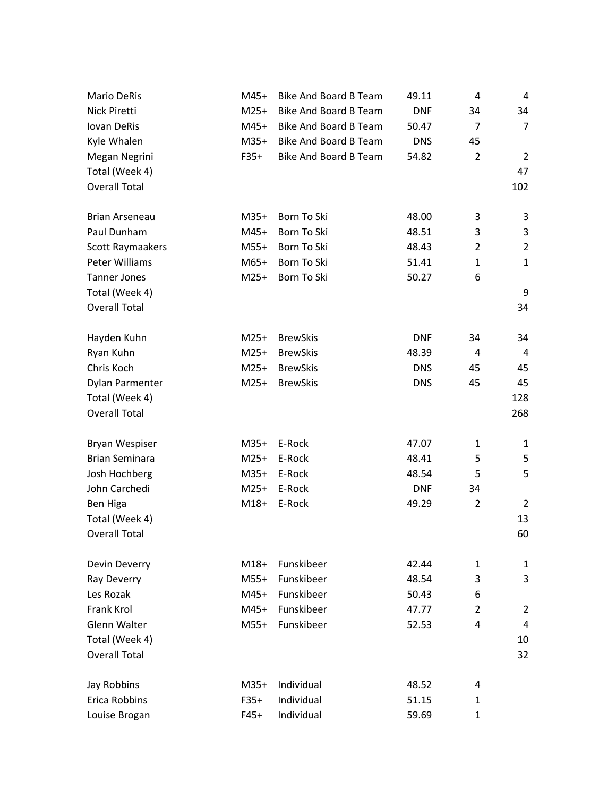| <b>Mario DeRis</b>    | M45+   | <b>Bike And Board B Team</b> | 49.11      | 4              | 4              |
|-----------------------|--------|------------------------------|------------|----------------|----------------|
| Nick Piretti          | $M25+$ | Bike And Board B Team        | <b>DNF</b> | 34             | 34             |
| Iovan DeRis           | $M45+$ | <b>Bike And Board B Team</b> | 50.47      | $\overline{7}$ | $\overline{7}$ |
| Kyle Whalen           | $M35+$ | Bike And Board B Team        | <b>DNS</b> | 45             |                |
| Megan Negrini         | $F35+$ | <b>Bike And Board B Team</b> | 54.82      | $\overline{2}$ | $\overline{2}$ |
| Total (Week 4)        |        |                              |            |                | 47             |
| <b>Overall Total</b>  |        |                              |            |                | 102            |
| Brian Arseneau        | $M35+$ | Born To Ski                  | 48.00      | 3              | 3              |
| Paul Dunham           | $M45+$ | Born To Ski                  | 48.51      | 3              | 3              |
| Scott Raymaakers      | $M55+$ | Born To Ski                  | 48.43      | 2              | $\overline{2}$ |
| Peter Williams        | $M65+$ | Born To Ski                  | 51.41      | $\mathbf{1}$   | $\mathbf{1}$   |
| <b>Tanner Jones</b>   | $M25+$ | Born To Ski                  | 50.27      | 6              |                |
| Total (Week 4)        |        |                              |            |                | 9              |
| <b>Overall Total</b>  |        |                              |            |                | 34             |
| Hayden Kuhn           | $M25+$ | <b>BrewSkis</b>              | <b>DNF</b> | 34             | 34             |
| Ryan Kuhn             | $M25+$ | <b>BrewSkis</b>              | 48.39      | 4              | 4              |
| Chris Koch            | $M25+$ | <b>BrewSkis</b>              | <b>DNS</b> | 45             | 45             |
| Dylan Parmenter       | $M25+$ | <b>BrewSkis</b>              | <b>DNS</b> | 45             | 45             |
| Total (Week 4)        |        |                              |            |                | 128            |
| <b>Overall Total</b>  |        |                              |            |                | 268            |
| Bryan Wespiser        | $M35+$ | E-Rock                       | 47.07      | 1              | 1              |
| <b>Brian Seminara</b> | $M25+$ | E-Rock                       | 48.41      | 5              | 5              |
| Josh Hochberg         | $M35+$ | E-Rock                       | 48.54      | 5              | 5              |
| John Carchedi         | $M25+$ | E-Rock                       | <b>DNF</b> | 34             |                |
| Ben Higa              | $M18+$ | E-Rock                       | 49.29      | $\overline{2}$ | 2              |
| Total (Week 4)        |        |                              |            |                | 13             |
| <b>Overall Total</b>  |        |                              |            |                | 60             |
| Devin Deverry         | $M18+$ | Funskibeer                   | 42.44      | $\mathbf{1}$   | $\mathbf{1}$   |
| Ray Deverry           | $M55+$ | Funskibeer                   | 48.54      | 3              | 3              |
| Les Rozak             | M45+   | Funskibeer                   | 50.43      | 6              |                |
| <b>Frank Krol</b>     | $M45+$ | Funskibeer                   | 47.77      | 2              | $\overline{2}$ |
| Glenn Walter          | $M55+$ | Funskibeer                   | 52.53      | 4              | 4              |
| Total (Week 4)        |        |                              |            |                | 10             |
| <b>Overall Total</b>  |        |                              |            |                | 32             |
| Jay Robbins           | $M35+$ | Individual                   | 48.52      | 4              |                |
| Erica Robbins         | $F35+$ | Individual                   | 51.15      | 1              |                |
| Louise Brogan         | $F45+$ | Individual                   | 59.69      | 1              |                |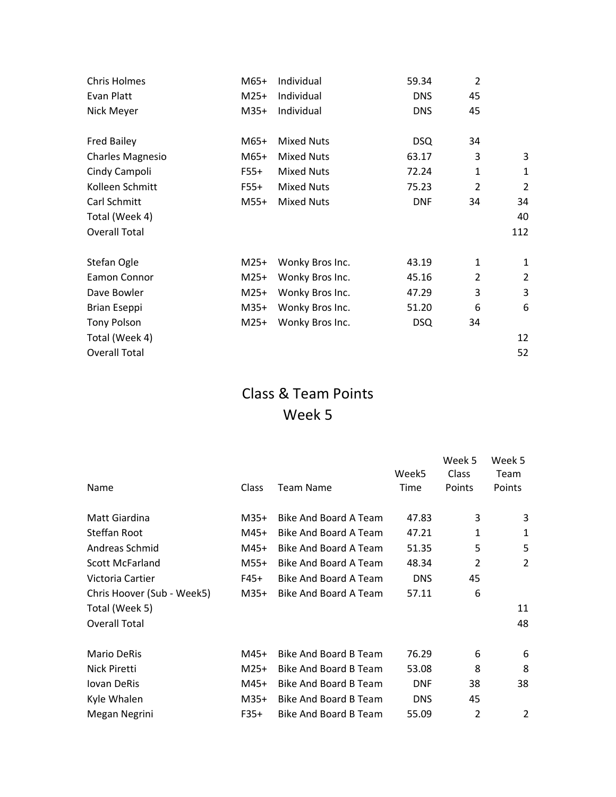| <b>Chris Holmes</b>     | M65+   | Individual        | 59.34      | $\overline{2}$ |                |
|-------------------------|--------|-------------------|------------|----------------|----------------|
| Evan Platt              | $M25+$ | Individual        | <b>DNS</b> | 45             |                |
| Nick Meyer              | $M35+$ | Individual        | <b>DNS</b> | 45             |                |
| <b>Fred Bailey</b>      | M65+   | <b>Mixed Nuts</b> | <b>DSQ</b> | 34             |                |
| <b>Charles Magnesio</b> | $M65+$ | <b>Mixed Nuts</b> | 63.17      | 3              | 3              |
| Cindy Campoli           | $F55+$ | <b>Mixed Nuts</b> | 72.24      | $\mathbf{1}$   | 1              |
| Kolleen Schmitt         | $F55+$ | <b>Mixed Nuts</b> | 75.23      | $\overline{2}$ | $\overline{2}$ |
| Carl Schmitt            | $M55+$ | <b>Mixed Nuts</b> | <b>DNF</b> | 34             | 34             |
| Total (Week 4)          |        |                   |            |                | 40             |
| <b>Overall Total</b>    |        |                   |            |                | 112            |
| Stefan Ogle             | $M25+$ | Wonky Bros Inc.   | 43.19      | $\mathbf{1}$   | 1              |
| Eamon Connor            | $M25+$ | Wonky Bros Inc.   | 45.16      | $\mathcal{P}$  | $\overline{2}$ |
| Dave Bowler             | $M25+$ | Wonky Bros Inc.   | 47.29      | 3              | 3              |
| <b>Brian Eseppi</b>     | $M35+$ | Wonky Bros Inc.   | 51.20      | 6              | 6              |
| <b>Tony Polson</b>      | $M25+$ | Wonky Bros Inc.   | <b>DSQ</b> | 34             |                |
| Total (Week 4)          |        |                   |            |                | 12             |
| <b>Overall Total</b>    |        |                   |            |                | 52             |
|                         |        |                   |            |                |                |

|              |                       |            | Week 5         | Week 5 |
|--------------|-----------------------|------------|----------------|--------|
|              |                       | Week5      | Class          | Team   |
| <b>Class</b> | <b>Team Name</b>      | Time       | Points         | Points |
| $M35+$       | Bike And Board A Team | 47.83      | 3              | 3      |
| $M45+$       | Bike And Board A Team | 47.21      | 1              | 1      |
| $M45+$       | Bike And Board A Team | 51.35      | 5              | 5      |
| $M55+$       | Bike And Board A Team | 48.34      | 2              | 2      |
| F45+         | Bike And Board A Team | <b>DNS</b> | 45             |        |
| $M35+$       | Bike And Board A Team | 57.11      | 6              |        |
|              |                       |            |                | 11     |
|              |                       |            |                | 48     |
| $M45+$       | Bike And Board B Team | 76.29      | 6              | 6      |
| $M25+$       | Bike And Board B Team | 53.08      | 8              | 8      |
| $M45+$       | Bike And Board B Team | <b>DNF</b> | 38             | 38     |
| $M35+$       | Bike And Board B Team | <b>DNS</b> | 45             |        |
| $F35+$       | Bike And Board B Team | 55.09      | $\overline{2}$ | 2      |
|              |                       |            |                |        |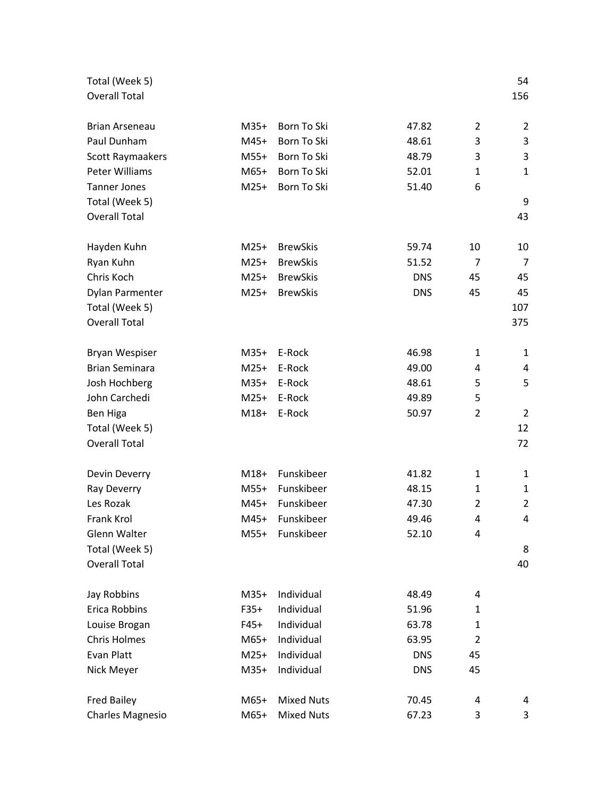| Total (Week 5)                 |        |                   |            |                | 54             |
|--------------------------------|--------|-------------------|------------|----------------|----------------|
| <b>Overall Total</b>           |        |                   |            |                | 156            |
|                                |        |                   |            |                |                |
| <b>Brian Arseneau</b>          | $M35+$ | Born To Ski       | 47.82      | $\overline{2}$ | $\overline{2}$ |
| Paul Dunham                    | $M45+$ | Born To Ski       | 48.61      | 3              | 3              |
| Scott Raymaakers               | $M55+$ | Born To Ski       | 48.79      | 3              | 3              |
| Peter Williams                 | M65+   | Born To Ski       | 52.01      | 1              | $\mathbf{1}$   |
| <b>Tanner Jones</b>            | $M25+$ | Born To Ski       | 51.40      | 6              |                |
| Total (Week 5)                 |        |                   |            |                | 9              |
| <b>Overall Total</b>           |        |                   |            |                | 43             |
|                                |        |                   |            |                |                |
| Hayden Kuhn                    | $M25+$ | <b>BrewSkis</b>   | 59.74      | 10             | 10             |
| Ryan Kuhn                      | $M25+$ | <b>BrewSkis</b>   | 51.52      | $\overline{7}$ | 7              |
| Chris Koch                     | $M25+$ | <b>BrewSkis</b>   | <b>DNS</b> | 45             | 45             |
| Dylan Parmenter                | $M25+$ | <b>BrewSkis</b>   | <b>DNS</b> | 45             | 45             |
| Total (Week 5)                 |        |                   |            |                | 107            |
| <b>Overall Total</b>           |        |                   |            |                | 375            |
| Bryan Wespiser                 | $M35+$ | E-Rock            | 46.98      | 1              | $\mathbf{1}$   |
| <b>Brian Seminara</b>          | $M25+$ | E-Rock            | 49.00      | 4              |                |
|                                | $M35+$ | E-Rock            | 48.61      | 5              | 4<br>5         |
| Josh Hochberg<br>John Carchedi | $M25+$ | E-Rock            |            |                |                |
|                                |        |                   | 49.89      | 5              |                |
| Ben Higa                       | $M18+$ | E-Rock            | 50.97      | $\overline{2}$ | $\overline{2}$ |
| Total (Week 5)                 |        |                   |            |                | 12             |
| <b>Overall Total</b>           |        |                   |            |                | 72             |
| Devin Deverry                  | $M18+$ | Funskibeer        | 41.82      | 1              | 1              |
| Ray Deverry                    | $M55+$ | Funskibeer        | 48.15      | 1              | $\mathbf{1}$   |
| Les Rozak                      | $M45+$ | Funskibeer        | 47.30      | 2              | $\overline{2}$ |
| Frank Krol                     | $M45+$ | Funskibeer        | 49.46      | 4              | 4              |
| Glenn Walter                   | $M55+$ | Funskibeer        | 52.10      | 4              |                |
| Total (Week 5)                 |        |                   |            |                | 8              |
| <b>Overall Total</b>           |        |                   |            |                | 40             |
|                                |        |                   |            |                |                |
| Jay Robbins                    | $M35+$ | Individual        | 48.49      | 4              |                |
| Erica Robbins                  | $F35+$ | Individual        | 51.96      | 1              |                |
| Louise Brogan                  | $F45+$ | Individual        | 63.78      | 1              |                |
| <b>Chris Holmes</b>            | M65+   | Individual        | 63.95      | $\overline{2}$ |                |
| Evan Platt                     | $M25+$ | Individual        | <b>DNS</b> | 45             |                |
| Nick Meyer                     | $M35+$ | Individual        | <b>DNS</b> | 45             |                |
| <b>Fred Bailey</b>             | M65+   | <b>Mixed Nuts</b> | 70.45      | 4              | 4              |
| <b>Charles Magnesio</b>        | M65+   | <b>Mixed Nuts</b> | 67.23      | 3              | 3              |
|                                |        |                   |            |                |                |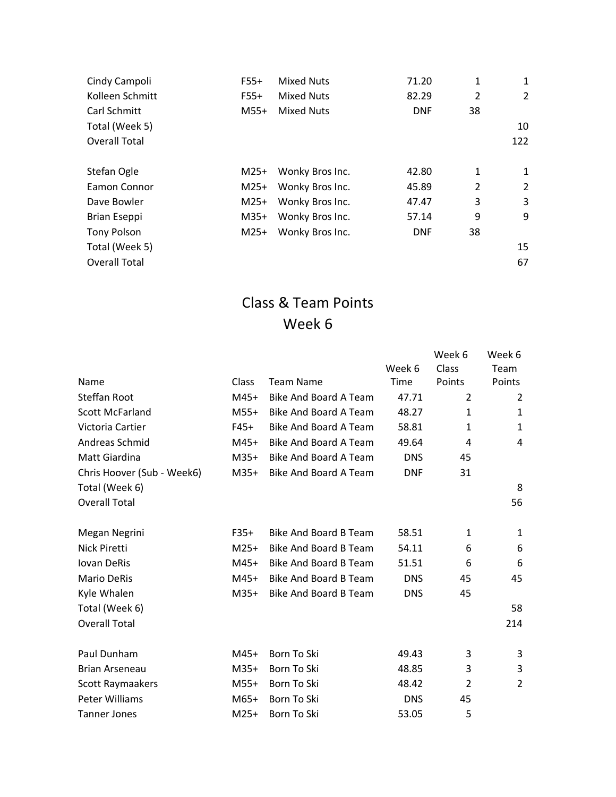| Cindy Campoli       | $F55+$ | <b>Mixed Nuts</b> | 71.20      | 1              | 1              |
|---------------------|--------|-------------------|------------|----------------|----------------|
| Kolleen Schmitt     | $F55+$ | <b>Mixed Nuts</b> | 82.29      | $\overline{2}$ | $\overline{2}$ |
| Carl Schmitt        | $M55+$ | <b>Mixed Nuts</b> | <b>DNF</b> | 38             |                |
| Total (Week 5)      |        |                   |            |                | 10             |
| Overall Total       |        |                   |            |                | 122            |
| Stefan Ogle         | $M25+$ | Wonky Bros Inc.   | 42.80      | 1              | 1              |
| Eamon Connor        | $M25+$ | Wonky Bros Inc.   | 45.89      | $\overline{2}$ | $\overline{2}$ |
| Dave Bowler         | $M25+$ | Wonky Bros Inc.   | 47.47      | 3              | 3              |
| <b>Brian Eseppi</b> | $M35+$ | Wonky Bros Inc.   | 57.14      | 9              | 9              |
| <b>Tony Polson</b>  | $M25+$ | Wonky Bros Inc.   | <b>DNF</b> | 38             |                |
| Total (Week 5)      |        |                   |            |                | 15             |
| Overall Total       |        |                   |            |                | 67             |

|                            |        |                              |            | Week 6         | Week 6 |
|----------------------------|--------|------------------------------|------------|----------------|--------|
|                            |        |                              | Week 6     | Class          | Team   |
| Name                       | Class  | <b>Team Name</b>             | Time       | Points         | Points |
| Steffan Root               | $M45+$ | Bike And Board A Team        | 47.71      | 2              | 2      |
| <b>Scott McFarland</b>     | $M55+$ | Bike And Board A Team        | 48.27      | 1              | 1      |
| Victoria Cartier           | $F45+$ | Bike And Board A Team        | 58.81      | 1              | 1      |
| Andreas Schmid             | $M45+$ | Bike And Board A Team        | 49.64      | 4              | 4      |
| Matt Giardina              | $M35+$ | Bike And Board A Team        | <b>DNS</b> | 45             |        |
| Chris Hoover (Sub - Week6) | $M35+$ | Bike And Board A Team        | <b>DNF</b> | 31             |        |
| Total (Week 6)             |        |                              |            |                | 8      |
| <b>Overall Total</b>       |        |                              |            |                | 56     |
| Megan Negrini              | $F35+$ | Bike And Board B Team        | 58.51      | 1              | 1      |
| Nick Piretti               | $M25+$ | Bike And Board B Team        | 54.11      | 6              | 6      |
| Iovan DeRis                | $M45+$ | Bike And Board B Team        | 51.51      | 6              | 6      |
| <b>Mario DeRis</b>         | $M45+$ | <b>Bike And Board B Team</b> | <b>DNS</b> | 45             | 45     |
| Kyle Whalen                | $M35+$ | <b>Bike And Board B Team</b> | <b>DNS</b> | 45             |        |
| Total (Week 6)             |        |                              |            |                | 58     |
| <b>Overall Total</b>       |        |                              |            |                | 214    |
| Paul Dunham                | $M45+$ | Born To Ski                  | 49.43      | 3              | 3      |
| Brian Arseneau             | $M35+$ | Born To Ski                  | 48.85      | 3              | 3      |
| Scott Raymaakers           | M55+   | Born To Ski                  | 48.42      | $\overline{2}$ | 2      |
| <b>Peter Williams</b>      | $M65+$ | Born To Ski                  | <b>DNS</b> | 45             |        |
| <b>Tanner Jones</b>        | $M25+$ | Born To Ski                  | 53.05      | 5              |        |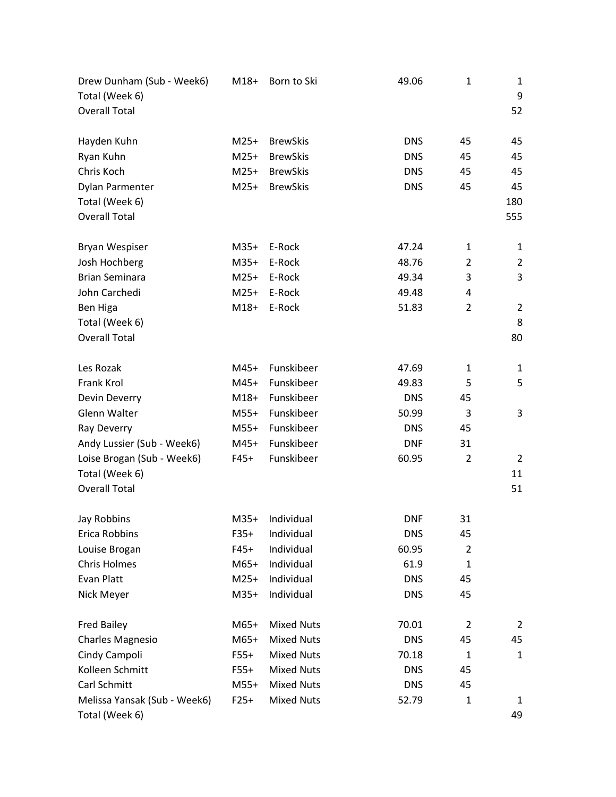| Drew Dunham (Sub - Week6)<br>Total (Week 6)<br><b>Overall Total</b> | $M18+$ | Born to Ski       | 49.06      | $\mathbf 1$    | 1<br>9<br>52   |
|---------------------------------------------------------------------|--------|-------------------|------------|----------------|----------------|
| Hayden Kuhn                                                         | $M25+$ | <b>BrewSkis</b>   | <b>DNS</b> | 45             | 45             |
| Ryan Kuhn                                                           | $M25+$ | <b>BrewSkis</b>   | <b>DNS</b> | 45             | 45             |
| Chris Koch                                                          | $M25+$ | <b>BrewSkis</b>   | <b>DNS</b> | 45             | 45             |
| Dylan Parmenter                                                     | $M25+$ | <b>BrewSkis</b>   | <b>DNS</b> | 45             | 45             |
| Total (Week 6)                                                      |        |                   |            |                | 180            |
| <b>Overall Total</b>                                                |        |                   |            |                | 555            |
| Bryan Wespiser                                                      | $M35+$ | E-Rock            | 47.24      | 1              | 1              |
| Josh Hochberg                                                       | $M35+$ | E-Rock            | 48.76      | $\overline{2}$ | $\overline{2}$ |
| <b>Brian Seminara</b>                                               | $M25+$ | E-Rock            | 49.34      | 3              | 3              |
| John Carchedi                                                       | $M25+$ | E-Rock            | 49.48      | 4              |                |
| Ben Higa                                                            | $M18+$ | E-Rock            | 51.83      | $\overline{2}$ | $\overline{2}$ |
| Total (Week 6)                                                      |        |                   |            |                | 8              |
| <b>Overall Total</b>                                                |        |                   |            |                | 80             |
| Les Rozak                                                           | M45+   | Funskibeer        | 47.69      | $\mathbf{1}$   | 1              |
| Frank Krol                                                          | M45+   | Funskibeer        | 49.83      | 5              | 5              |
| Devin Deverry                                                       | $M18+$ | Funskibeer        | <b>DNS</b> | 45             |                |
| Glenn Walter                                                        | $M55+$ | Funskibeer        | 50.99      | 3              | 3              |
| Ray Deverry                                                         | $M55+$ | Funskibeer        | <b>DNS</b> | 45             |                |
| Andy Lussier (Sub - Week6)                                          | M45+   | Funskibeer        | <b>DNF</b> | 31             |                |
| Loise Brogan (Sub - Week6)                                          | $F45+$ | Funskibeer        | 60.95      | $\overline{2}$ | $\overline{2}$ |
| Total (Week 6)                                                      |        |                   |            |                | 11             |
| <b>Overall Total</b>                                                |        |                   |            |                | 51             |
| Jay Robbins                                                         | $M35+$ | Individual        | <b>DNF</b> | 31             |                |
| Erica Robbins                                                       | $F35+$ | Individual        | <b>DNS</b> | 45             |                |
| Louise Brogan                                                       | $F45+$ | Individual        | 60.95      | $\overline{2}$ |                |
| <b>Chris Holmes</b>                                                 | $M65+$ | Individual        | 61.9       | $\mathbf 1$    |                |
| Evan Platt                                                          | $M25+$ | Individual        | <b>DNS</b> | 45             |                |
| Nick Meyer                                                          | $M35+$ | Individual        | <b>DNS</b> | 45             |                |
| <b>Fred Bailey</b>                                                  | $M65+$ | <b>Mixed Nuts</b> | 70.01      | $\overline{2}$ | $\overline{2}$ |
| <b>Charles Magnesio</b>                                             | $M65+$ | <b>Mixed Nuts</b> | <b>DNS</b> | 45             | 45             |
| Cindy Campoli                                                       | $F55+$ | <b>Mixed Nuts</b> | 70.18      | $\mathbf{1}$   | $\mathbf{1}$   |
| Kolleen Schmitt                                                     | $F55+$ | <b>Mixed Nuts</b> | <b>DNS</b> | 45             |                |
| Carl Schmitt                                                        | $M55+$ | <b>Mixed Nuts</b> | <b>DNS</b> | 45             |                |
| Melissa Yansak (Sub - Week6)<br>Total (Week 6)                      | $F25+$ | <b>Mixed Nuts</b> | 52.79      | $\mathbf{1}$   | 1<br>49        |